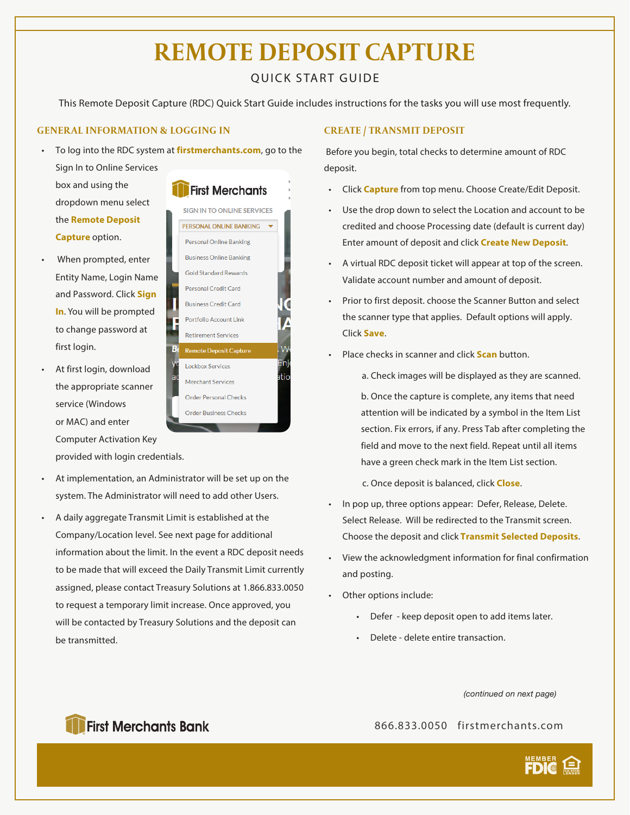## **REMOTE DEPOSIT CAPTURE**

## QUICK START GUIDE

This Remote Deposit Capture (RDC) Quick Start Guide includes instructions for the tasks you will use most frequently.

### **GENERAL INFORMATION & LOGGING IN**

- To log into the RDC system at **firstmerchants.com**, go to the Sign In to Online Services box and using the **First Merchants** dropdown menu select SIGN IN TO ONLINE SERVICES the **Remote Deposit**
- When prompted, enter Entity Name, Login Name and Password. Click **Sign In**. You will be prompted to change password at first login.

**Capture** option.

• At first login, download the appropriate scanner service (Windows or MAC) and enter Computer Activation Key provided with login credentials.



- At implementation, an Administrator will be set up on the system. The Administrator will need to add other Users.
- A daily aggregate Transmit Limit is established at the Company/Location level. See next page for additional information about the limit. In the event a RDC deposit needs to be made that will exceed the Daily Transmit Limit currently assigned, please contact Treasury Solutions at 1.866.833.0050 to request a temporary limit increase. Once approved, you will be contacted by Treasury Solutions and the deposit can be transmitted.

## **CREATE / TRANSMIT DEPOSIT**

 Before you begin, total checks to determine amount of RDC deposit.

- Click **Capture** from top menu. Choose Create/Edit Deposit.
- Use the drop down to select the Location and account to be credited and choose Processing date (default is current day) Enter amount of deposit and click **Create New Deposit**.
- A virtual RDC deposit ticket will appear at top of the screen. Validate account number and amount of deposit.
- Prior to first deposit. choose the Scanner Button and select the scanner type that applies. Default options will apply. Click **Save**.
- Place checks in scanner and click **Scan** button.
	- a. Check images will be displayed as they are scanned.
	- b. Once the capture is complete, any items that need attention will be indicated by a symbol in the Item List section. Fix errors, if any. Press Tab after completing the field and move to the next field. Repeat until all items have a green check mark in the Item List section.

c. Once deposit is balanced, click **Close**.

- In pop up, three options appear: Defer, Release, Delete. Select Release. Will be redirected to the Transmit screen. Choose the deposit and click **Transmit Selected Deposits**.
- View the acknowledgment information for final confirmation and posting.
- Other options include:
	- Defer keep deposit open to add items later.
	- Delete delete entire transaction.

*(continued on next page)*

866.833.0050 firstmerchants.com



## **First Merchants Bank**